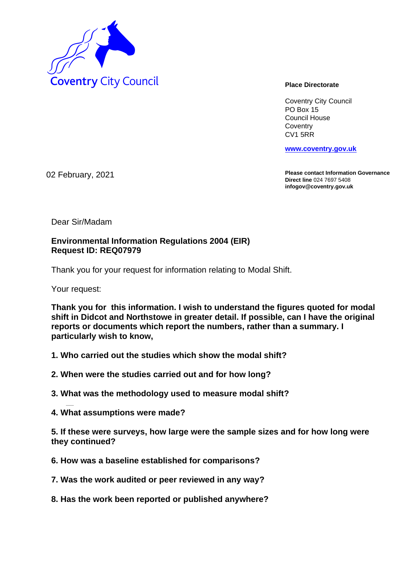

Coventry City Council PO Box 15 Council House **Coventry** CV1 5RR

**www.coventry.gov.uk**

02 February, 2021

**Please contact Information Governance Direct line** 024 7697 5408 **infogov@coventry.gov.uk** 

Dear Sir/Madam

## **Environmental Information Regulations 2004 (EIR) Request ID: REQ07979**

Thank you for your request for information relating to Modal Shift.

Your request:

**Thank you for this information. I wish to understand the figures quoted for modal shift in Didcot and Northstowe in greater detail. If possible, can I have the original reports or documents which report the numbers, rather than a summary. I particularly wish to know,**

- **1. Who carried out the studies which show the modal shift?**
- **2. When were the studies carried out and for how long?**
- **3. What was the methodology used to measure modal shift?**
- **4. What assumptions were made?**

**5. If these were surveys, how large were the sample sizes and for how long were they continued?**

- **6. How was a baseline established for comparisons?**
- **7. Was the work audited or peer reviewed in any way?**
- **8. Has the work been reported or published anywhere?**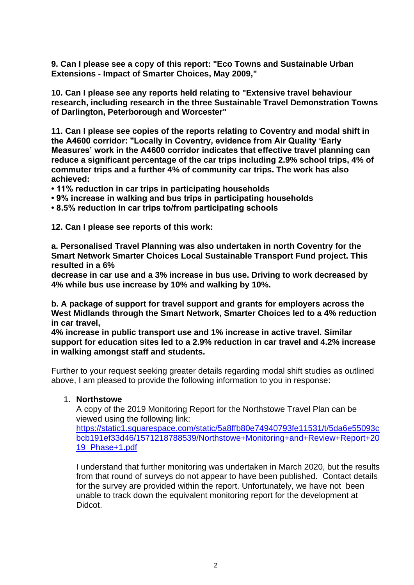**9. Can I please see a copy of this report: "Eco Towns and Sustainable Urban Extensions - Impact of Smarter Choices, May 2009,"**

**10. Can I please see any reports held relating to "Extensive travel behaviour research, including research in the three Sustainable Travel Demonstration Towns of Darlington, Peterborough and Worcester"**

**11. Can I please see copies of the reports relating to Coventry and modal shift in the A4600 corridor: "Locally in Coventry, evidence from Air Quality 'Early Measures' work in the A4600 corridor indicates that effective travel planning can reduce a significant percentage of the car trips including 2.9% school trips, 4% of commuter trips and a further 4% of community car trips. The work has also achieved:** 

- **11% reduction in car trips in participating households**
- **9% increase in walking and bus trips in participating households**
- **8.5% reduction in car trips to/from participating schools**

**12. Can I please see reports of this work:**

**a. Personalised Travel Planning was also undertaken in north Coventry for the Smart Network Smarter Choices Local Sustainable Transport Fund project. This resulted in a 6%**

**decrease in car use and a 3% increase in bus use. Driving to work decreased by 4% while bus use increase by 10% and walking by 10%.**

**b. A package of support for travel support and grants for employers across the West Midlands through the Smart Network, Smarter Choices led to a 4% reduction in car travel,**

**4% increase in public transport use and 1% increase in active travel. Similar support for education sites led to a 2.9% reduction in car travel and 4.2% increase in walking amongst staff and students.**

Further to your request seeking greater details regarding modal shift studies as outlined above, I am pleased to provide the following information to you in response:

1. **Northstowe**

A copy of the 2019 Monitoring Report for the Northstowe Travel Plan can be viewed using the following link:

https://static1.squarespace.com/static/5a8ffb80e74940793fe11531/t/5da6e55093c bcb191ef33d46/1571218788539/Northstowe+Monitoring+and+Review+Report+20 19\_Phase+1.pdf

I understand that further monitoring was undertaken in March 2020, but the results from that round of surveys do not appear to have been published. Contact details for the survey are provided within the report. Unfortunately, we have not been unable to track down the equivalent monitoring report for the development at Didcot.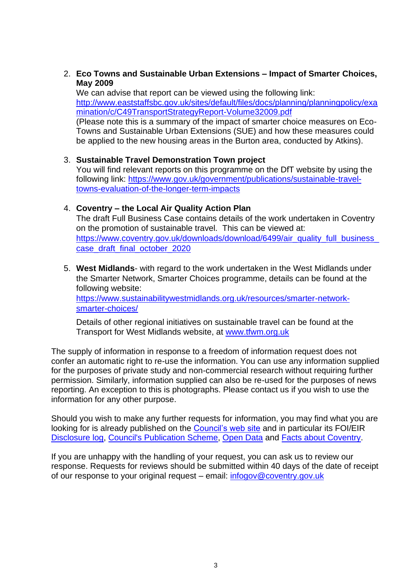2. **Eco Towns and Sustainable Urban Extensions – Impact of Smarter Choices, May 2009**

We can advise that report can be viewed using the following link: http://www.eaststaffsbc.gov.uk/sites/default/files/docs/planning/planningpolicy/exa mination/c/C49TransportStrategyReport-Volume32009.pdf

(Please note this is a summary of the impact of smarter choice measures on Eco-Towns and Sustainable Urban Extensions (SUE) and how these measures could be applied to the new housing areas in the Burton area, conducted by Atkins).

3. **Sustainable Travel Demonstration Town project** You will find relevant reports on this programme on the DfT website by using the following link: https://www.gov.uk/government/publications/sustainable-traveltowns-evaluation-of-the-longer-term-impacts

## 4. **Coventry – the Local Air Quality Action Plan**

The draft Full Business Case contains details of the work undertaken in Coventry on the promotion of sustainable travel. This can be viewed at: https://www.coventry.gov.uk/downloads/download/6499/air\_quality\_full\_business\_ case\_draft\_final\_october\_2020

5. **West Midlands**- with regard to the work undertaken in the West Midlands under the Smarter Network, Smarter Choices programme, details can be found at the following website: https://www.sustainabilitywestmidlands.org.uk/resources/smarter-networksmarter-choices/

Details of other regional initiatives on sustainable travel can be found at the Transport for West Midlands website, at www.tfwm.org.uk

The supply of information in response to a freedom of information request does not confer an automatic right to re-use the information. You can use any information supplied for the purposes of private study and non-commercial research without requiring further permission. Similarly, information supplied can also be re-used for the purposes of news reporting. An exception to this is photographs. Please contact us if you wish to use the information for any other purpose.

Should you wish to make any further requests for information, you may find what you are looking for is already published on the Council's web site and in particular its FOI/EIR Disclosure log, Council's Publication Scheme, Open Data and Facts about Coventry.

If you are unhappy with the handling of your request, you can ask us to review our response. Requests for reviews should be submitted within 40 days of the date of receipt of our response to your original request – email: infogov@coventry.gov.uk